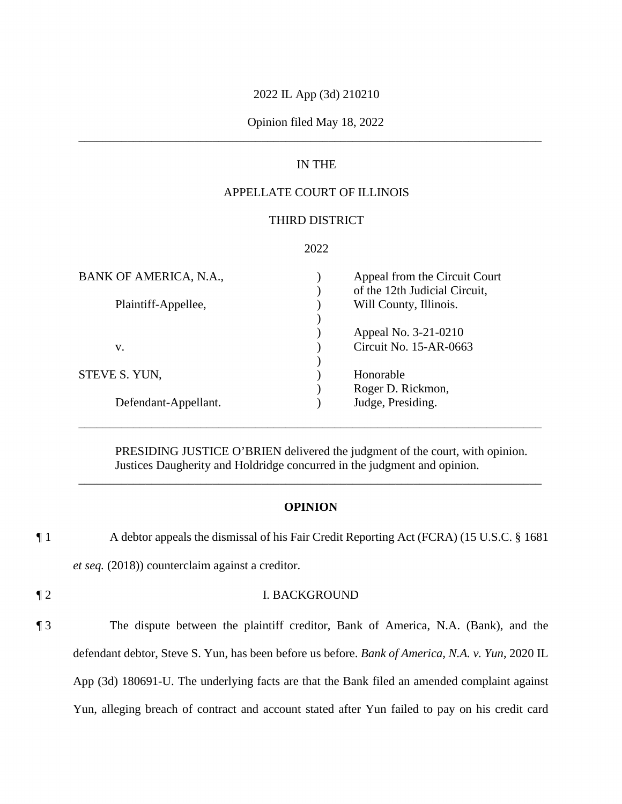## 2022 IL App (3d) 210210

## \_\_\_\_\_\_\_\_\_\_\_\_\_\_\_\_\_\_\_\_\_\_\_\_\_\_\_\_\_\_\_\_\_\_\_\_\_\_\_\_\_\_\_\_\_\_\_\_\_\_\_\_\_\_\_\_\_\_\_\_\_\_\_\_\_\_\_\_\_\_\_\_\_\_\_\_ Opinion filed May 18, 2022

## IN THE

## APPELLATE COURT OF ILLINOIS

## THIRD DISTRICT

## 2022

| BANK OF AMERICA, N.A., | Appeal from the Circuit Court<br>of the 12th Judicial Circuit, |
|------------------------|----------------------------------------------------------------|
| Plaintiff-Appellee,    | Will County, Illinois.                                         |
|                        | Appeal No. 3-21-0210                                           |
| v.                     | Circuit No. 15-AR-0663                                         |
| STEVE S. YUN,          | Honorable                                                      |
|                        | Roger D. Rickmon,                                              |
| Defendant-Appellant.   | Judge, Presiding.                                              |

PRESIDING JUSTICE O'BRIEN delivered the judgment of the court, with opinion. Justices Daugherity and Holdridge concurred in the judgment and opinion.

\_\_\_\_\_\_\_\_\_\_\_\_\_\_\_\_\_\_\_\_\_\_\_\_\_\_\_\_\_\_\_\_\_\_\_\_\_\_\_\_\_\_\_\_\_\_\_\_\_\_\_\_\_\_\_\_\_\_\_\_\_\_\_\_\_\_\_\_\_\_\_\_\_\_\_\_

### **OPINION**

\_\_\_\_\_\_\_\_\_\_\_\_\_\_\_\_\_\_\_\_\_\_\_\_\_\_\_\_\_\_\_\_\_\_\_\_\_\_\_\_\_\_\_\_\_\_\_\_\_\_\_\_\_\_\_\_\_\_\_\_\_\_\_\_\_\_\_\_\_\_\_\_\_\_\_\_

¶ 1 A debtor appeals the dismissal of his Fair Credit Reporting Act (FCRA) (15 U.S.C. § 1681

*et seq.* (2018)) counterclaim against a creditor.

## ¶ 2 I. BACKGROUND

 App (3d) 180691-U. The underlying facts are that the Bank filed an amended complaint against Yun, alleging breach of contract and account stated after Yun failed to pay on his credit card ¶ 3 The dispute between the plaintiff creditor, Bank of America, N.A. (Bank), and the defendant debtor, Steve S. Yun, has been before us before. *Bank of America, N.A. v. Yun*, 2020 IL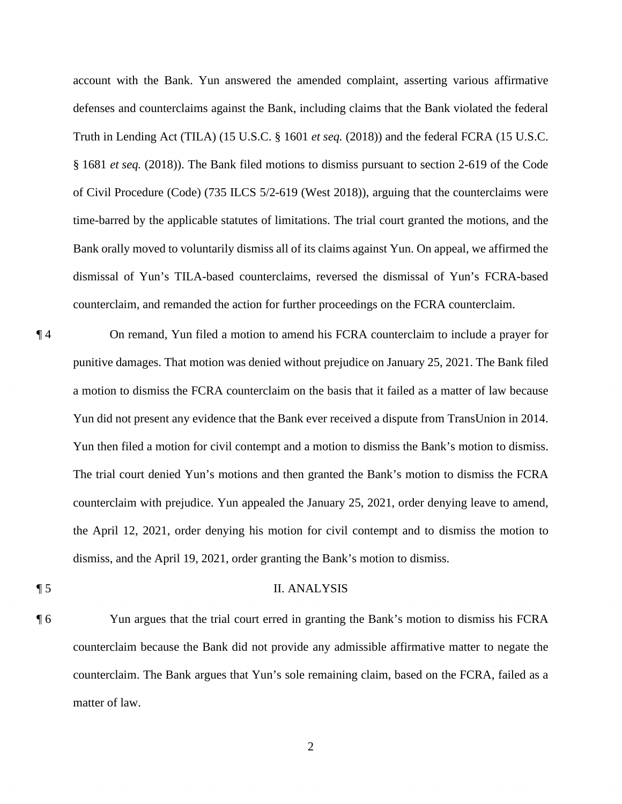of Civil Procedure (Code) (735 ILCS 5/2-619 (West 2018)), arguing that the counterclaims were account with the Bank. Yun answered the amended complaint, asserting various affirmative defenses and counterclaims against the Bank, including claims that the Bank violated the federal Truth in Lending Act (TILA) (15 U.S.C. § 1601 *et seq.* (2018)) and the federal FCRA (15 U.S.C. § 1681 *et seq.* (2018)). The Bank filed motions to dismiss pursuant to section 2-619 of the Code time-barred by the applicable statutes of limitations. The trial court granted the motions, and the Bank orally moved to voluntarily dismiss all of its claims against Yun. On appeal, we affirmed the dismissal of Yun's TILA-based counterclaims, reversed the dismissal of Yun's FCRA-based counterclaim, and remanded the action for further proceedings on the FCRA counterclaim.

- a motion to dismiss the FCRA counterclaim on the basis that it failed as a matter of law because ¶ 4 On remand, Yun filed a motion to amend his FCRA counterclaim to include a prayer for punitive damages. That motion was denied without prejudice on January 25, 2021. The Bank filed Yun did not present any evidence that the Bank ever received a dispute from TransUnion in 2014. Yun then filed a motion for civil contempt and a motion to dismiss the Bank's motion to dismiss. The trial court denied Yun's motions and then granted the Bank's motion to dismiss the FCRA counterclaim with prejudice. Yun appealed the January 25, 2021, order denying leave to amend, the April 12, 2021, order denying his motion for civil contempt and to dismiss the motion to dismiss, and the April 19, 2021, order granting the Bank's motion to dismiss.
- 

## ¶ 5 II. ANALYSIS

¶ 6 Yun argues that the trial court erred in granting the Bank's motion to dismiss his FCRA counterclaim because the Bank did not provide any admissible affirmative matter to negate the counterclaim. The Bank argues that Yun's sole remaining claim, based on the FCRA, failed as a matter of law.

2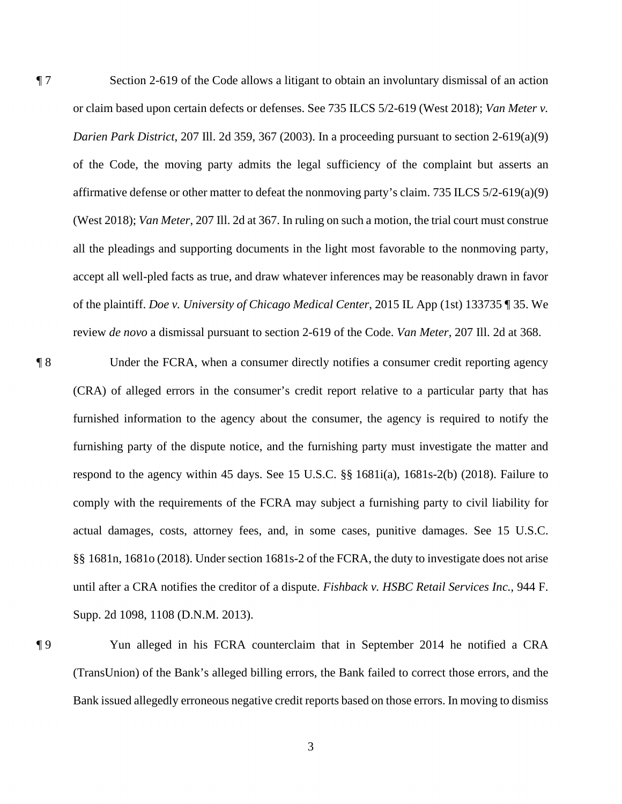¶ 7 Section 2-619 of the Code allows a litigant to obtain an involuntary dismissal of an action or claim based upon certain defects or defenses. See 735 ILCS 5/2-619 (West 2018); *Van Meter v. Darien Park District*, 207 Ill. 2d 359, 367 (2003). In a proceeding pursuant to section 2-619(a)(9) of the Code, the moving party admits the legal sufficiency of the complaint but asserts an affirmative defense or other matter to defeat the nonmoving party's claim. 735 ILCS 5/2-619(a)(9) (West 2018); *Van Meter*, 207 Ill. 2d at 367. In ruling on such a motion, the trial court must construe all the pleadings and supporting documents in the light most favorable to the nonmoving party, accept all well-pled facts as true, and draw whatever inferences may be reasonably drawn in favor of the plaintiff. *Doe v. University of Chicago Medical Center*, 2015 IL App (1st) 133735 ¶ 35. We review *de novo* a dismissal pursuant to section 2-619 of the Code. *Van Meter*, 207 Ill. 2d at 368.

 ¶ 8 Under the FCRA, when a consumer directly notifies a consumer credit reporting agency furnished information to the agency about the consumer, the agency is required to notify the (CRA) of alleged errors in the consumer's credit report relative to a particular party that has furnishing party of the dispute notice, and the furnishing party must investigate the matter and respond to the agency within 45 days. See 15 U.S.C. §§ 1681i(a), 1681s-2(b) (2018). Failure to comply with the requirements of the FCRA may subject a furnishing party to civil liability for actual damages, costs, attorney fees, and, in some cases, punitive damages. See 15 U.S.C. §§ 1681n, 1681o (2018). Under section 1681s-2 of the FCRA, the duty to investigate does not arise until after a CRA notifies the creditor of a dispute. *Fishback v. HSBC Retail Services Inc.*, 944 F. Supp. 2d 1098, 1108 (D.N.M. 2013).

¶ 9 Yun alleged in his FCRA counterclaim that in September 2014 he notified a CRA (TransUnion) of the Bank's alleged billing errors, the Bank failed to correct those errors, and the Bank issued allegedly erroneous negative credit reports based on those errors. In moving to dismiss

3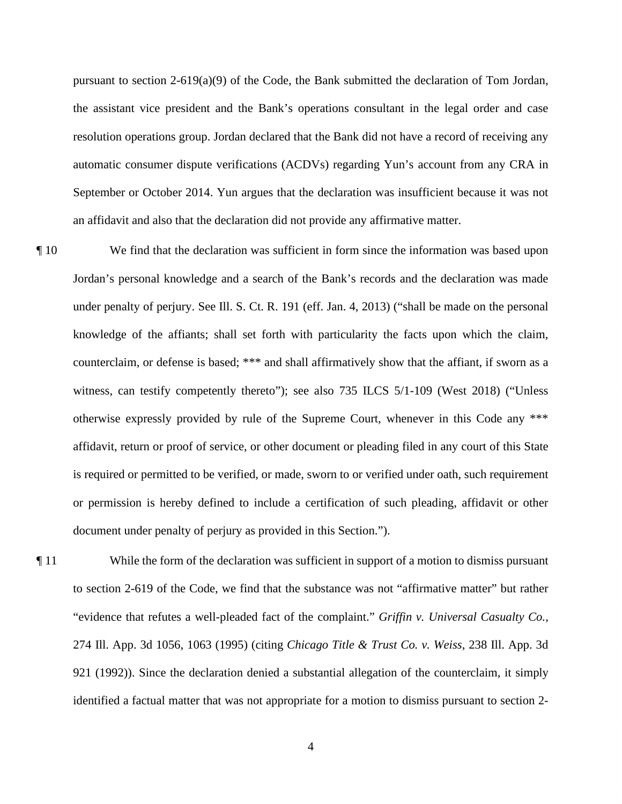September or October 2014. Yun argues that the declaration was insufficient because it was not an affidavit and also that the declaration did not provide any affirmative matter. pursuant to section 2-619(a)(9) of the Code, the Bank submitted the declaration of Tom Jordan, the assistant vice president and the Bank's operations consultant in the legal order and case resolution operations group. Jordan declared that the Bank did not have a record of receiving any automatic consumer dispute verifications (ACDVs) regarding Yun's account from any CRA in

 counterclaim, or defense is based; \*\*\* and shall affirmatively show that the affiant, if sworn as a ¶ 10 We find that the declaration was sufficient in form since the information was based upon Jordan's personal knowledge and a search of the Bank's records and the declaration was made under penalty of perjury. See Ill. S. Ct. R. 191 (eff. Jan. 4, 2013) ("shall be made on the personal knowledge of the affiants; shall set forth with particularity the facts upon which the claim, witness, can testify competently thereto"); see also 735 ILCS 5/1-109 (West 2018) ("Unless otherwise expressly provided by rule of the Supreme Court, whenever in this Code any \*\*\* affidavit, return or proof of service, or other document or pleading filed in any court of this State is required or permitted to be verified, or made, sworn to or verified under oath, such requirement or permission is hereby defined to include a certification of such pleading, affidavit or other document under penalty of perjury as provided in this Section.").

 to section 2-619 of the Code, we find that the substance was not "affirmative matter" but rather ¶ 11 While the form of the declaration was sufficient in support of a motion to dismiss pursuant "evidence that refutes a well-pleaded fact of the complaint." *Griffin v. Universal Casualty Co.*, 274 Ill. App. 3d 1056, 1063 (1995) (citing *Chicago Title & Trust Co. v. Weiss*, 238 Ill. App. 3d 921 (1992)). Since the declaration denied a substantial allegation of the counterclaim, it simply identified a factual matter that was not appropriate for a motion to dismiss pursuant to section 2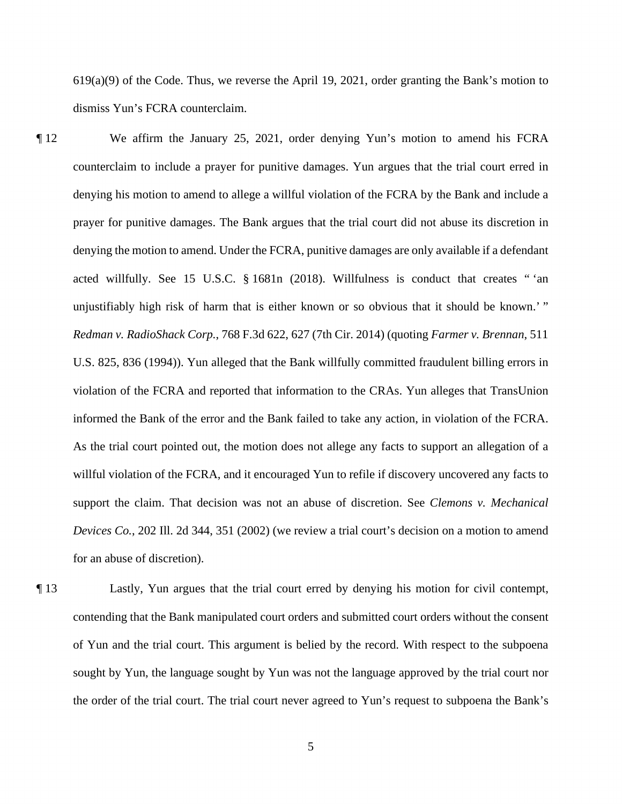619(a)(9) of the Code. Thus, we reverse the April 19, 2021, order granting the Bank's motion to dismiss Yun's FCRA counterclaim.

- counterclaim to include a prayer for punitive damages. Yun argues that the trial court erred in ¶ 12 We affirm the January 25, 2021, order denying Yun's motion to amend his FCRA denying his motion to amend to allege a willful violation of the FCRA by the Bank and include a prayer for punitive damages. The Bank argues that the trial court did not abuse its discretion in denying the motion to amend. Under the FCRA, punitive damages are only available if a defendant acted willfully. See 15 U.S.C. § 1681n (2018). Willfulness is conduct that creates " 'an unjustifiably high risk of harm that is either known or so obvious that it should be known.' " *Redman v. RadioShack Corp.*, 768 F.3d 622, 627 (7th Cir. 2014) (quoting *Farmer v. Brennan*, 511 U.S. 825, 836 (1994)). Yun alleged that the Bank willfully committed fraudulent billing errors in violation of the FCRA and reported that information to the CRAs. Yun alleges that TransUnion informed the Bank of the error and the Bank failed to take any action, in violation of the FCRA. As the trial court pointed out, the motion does not allege any facts to support an allegation of a willful violation of the FCRA, and it encouraged Yun to refile if discovery uncovered any facts to support the claim. That decision was not an abuse of discretion. See *Clemons v. Mechanical Devices Co.*, 202 Ill. 2d 344, 351 (2002) (we review a trial court's decision on a motion to amend for an abuse of discretion).
- ¶ 13 Lastly, Yun argues that the trial court erred by denying his motion for civil contempt, contending that the Bank manipulated court orders and submitted court orders without the consent of Yun and the trial court. This argument is belied by the record. With respect to the subpoena sought by Yun, the language sought by Yun was not the language approved by the trial court nor the order of the trial court. The trial court never agreed to Yun's request to subpoena the Bank's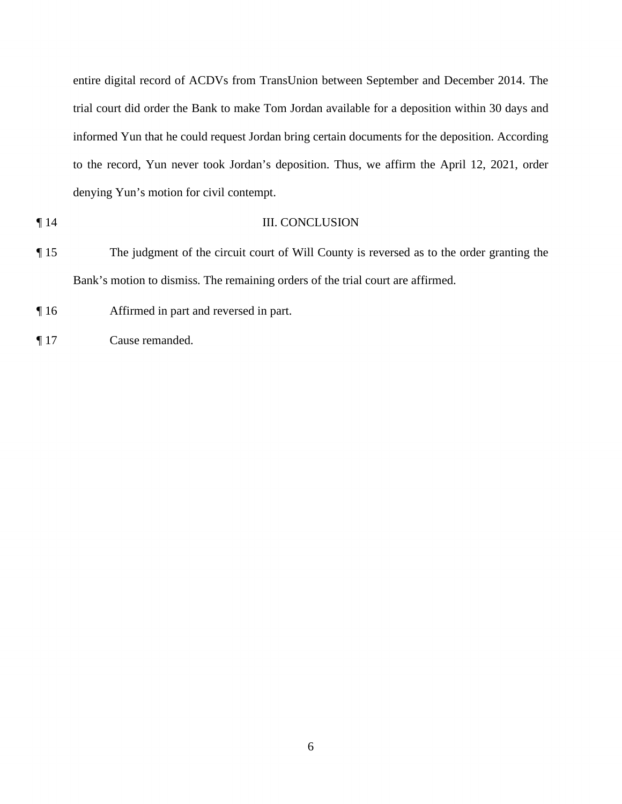entire digital record of ACDVs from TransUnion between September and December 2014. The trial court did order the Bank to make Tom Jordan available for a deposition within 30 days and informed Yun that he could request Jordan bring certain documents for the deposition. According to the record, Yun never took Jordan's deposition. Thus, we affirm the April 12, 2021, order denying Yun's motion for civil contempt.

- **T** 14 III. CONCLUSION
- 

¶ 15 The judgment of the circuit court of Will County is reversed as to the order granting the Bank's motion to dismiss. The remaining orders of the trial court are affirmed.

¶ 16 Affirmed in part and reversed in part.

¶ 17 Cause remanded.